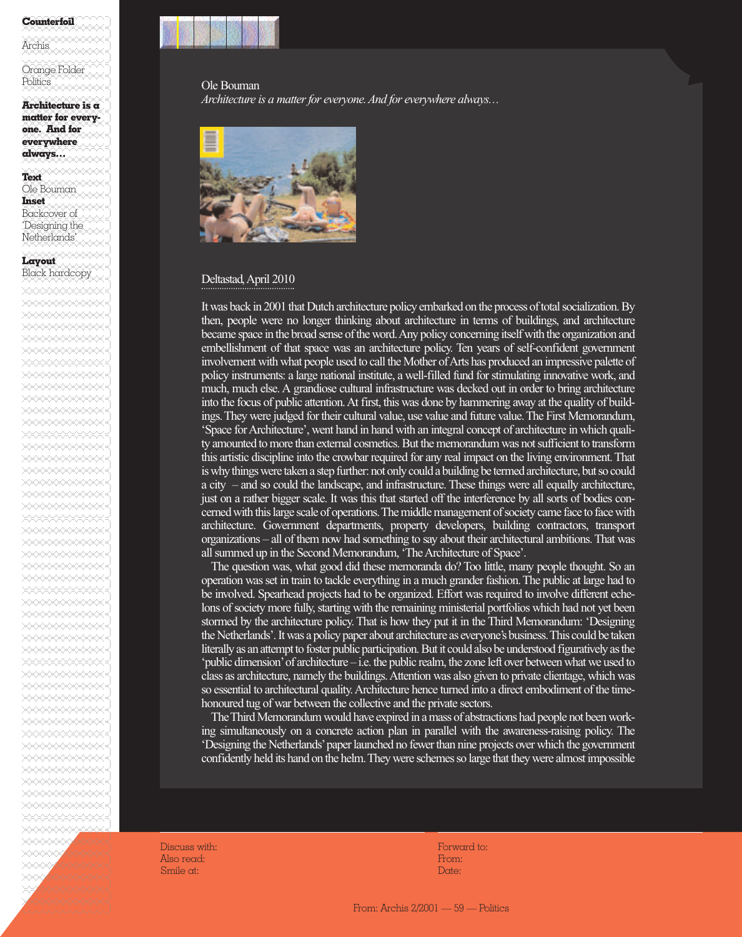## %%%%%%%%%%%%]**Counterfoil**

%%%%%%%%%%%%]%%%%%%%%%%%%]Archis %%%%%%%%%%%%]

Orange Folder Politics **Example** %%%%%%%%%%%%]

%%%%%%%%%%%%]**Architecture is a** %%%%%%%%%%%%]**matter for every-**%%%%%%%%%%%%]**one. And for** %%%%%%%%%%%%]**everywhere**

%%%%%%%%%%%%]

Netherlands' %%%%%%%%%%%%]

%%%%%%%%%%%%]**Layout**

%%%%%%%%%%%%]**always…**

%%%%%%%%%%%%]**Text** Ole Bouman %%%%%%%%%%%%]**Inset** Backcover of Designing the

Black hardcopy %%%%%%%%%%%%]%%%%%%%%%%%%]%%%%%%%%%%%%]%%%%%%%%%%%%]%%%%%%%%%%%%]%%%%%%%%%%%%]%%%%%%%%%%%%]%%%%%%%%%%%%]

%%%%%%%%%%%%]%%%%%%%%%%%%]%%%%%%%%%%%%]%%%%%%%%%%%%]%%%%%%%%%%%%]%%%%%%%%%%%%]

%%%%%%%%%%%%]%%%%%%%%%%%%]%%%%%%%%%%%%]%%%%%%%%%%%%]%%%%%%%%%%%%]%%%%%%%%%%%%]%%%%%%%%%%%%]%%%%%%%%%%%%]%%%%%%%%%%%%]%%%%%%%%%%%%]%%%%%%%%%%%%]%%%%%%%%%%%%]%%%%%%%%%%%%]%%%%%%%%%%%%]%%%%%%%%%%%%]%%%%%%%%%%%%]%%%%%%%%%%%%]%%%%%%%%%%%%]%%%%%%%%%%%%]%%%%%%%%%%%%]%%%%%%%%%%%%]%%%%%%%%%%%%]%%%%%%%%%%%%]%%%%%%%%%%%%]%%%%%%%%%%%%]%%%%%%%%%%%%]%%%%%%%%%%%%]%%%%%%%%%%%%]%%%%%%%%%%%%]%%%%%%%%%%%%]%%%%%%%%%%%%]%%%%%%%%%%%%] $% \frac{1}{2}$ %%%%%%%%%%%%]%%%%%%%%%%%%]%%%%%%%%%%%%]%%%%%%%%%%%%]%%%%%%%%%%%%]%%%%%%%%%%%%]

Ole Bouman *Architecture is a matter for everyone. And for everywhere always…*



## Deltastad, April 2010

It was back in 2001 that Dutch architecture policy embarked on the process of total socialization. By then, people were no longer thinking about architecture in terms of buildings, and architecture became space in the broad sense of the word. Any policy concerning itself with the organization and embellishment of that space was an architecture policy. Ten years of self-confident government involvement with what people used to call the Mother of Arts has produced an impressive palette of policy instruments: a large national institute, a well-filled fund for stimulating innovative work, and much, much else. A grandiose cultural infrastructure was decked out in order to bring architecture into the focus of public attention. At first, this was done by hammering away at the quality of buildings. They were judged for their cultural value, use value and future value. The First Memorandum, 'Space for Architecture', went hand in hand with an integral concept of architecture in which quality amounted to more than external cosmetics. But the memorandum was not sufficient to transform this artistic discipline into the crowbar required for any real impact on the living environment. That is why things were taken a step further: not only could a building be termed architecture, but so could a city – and so could the landscape, and infrastructure. These things were all equally architecture, just on a rather bigger scale. It was this that started off the interference by all sorts of bodies concerned with this large scale of operations. The middle management of society came face to face with architecture. Government departments, property developers, building contractors, transport organizations – all of them now had something to say about their architectural ambitions. That was all summed up in the Second Memorandum, 'The Architecture of Space'.

The question was, what good did these memoranda do? Too little, many people thought. So an operation was set in train to tackle everything in a much grander fashion. The public at large had to be involved. Spearhead projects had to be organized. Effort was required to involve different echelons of society more fully, starting with the remaining ministerial portfolios which had not yet been stormed by the architecture policy. That is how they put it in the Third Memorandum: 'Designing the Netherlands'. It was a policy paper about architecture as everyone's business. This could be taken literally as an attempt to foster public participation. But it could also be understood figuratively as the 'public dimension'of architecture – i.e. the public realm, the zone left over between what we used to class as architecture, namely the buildings. Attention was also given to private clientage, which was so essential to architectural quality. Architecture hence turned into a direct embodiment of the timehonoured tug of war between the collective and the private sectors.

The Third Memorandum would have expired in a mass of abstractions had people not been working simultaneously on a concrete action plan in parallel with the awareness-raising policy. The 'Designing the Netherlands'paper launched no fewer than nine projects over which the government confidently held its hand on the helm. They were schemes so large that they were almost impossible

Discuss with: Also read: Smile at:

Forward to: From: Date:

From: Archis 2/2001 — 59 — Politics